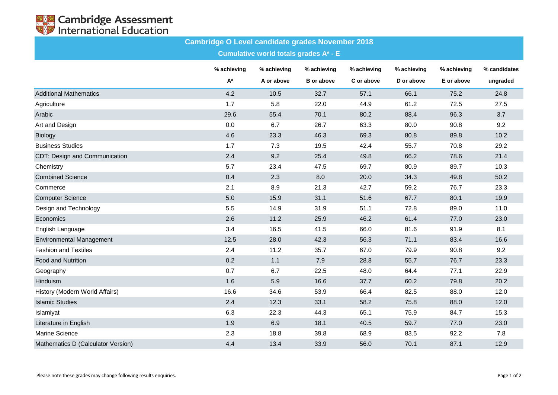

## **Cambridge O Level candidate grades November 2018**

**Cumulative world totals grades A\* - E**

|                                    | % achieving | % achieving | % achieving       | % achieving | % achieving | % achieving | % candidates |
|------------------------------------|-------------|-------------|-------------------|-------------|-------------|-------------|--------------|
|                                    | A*          | A or above  | <b>B</b> or above | C or above  | D or above  | E or above  | ungraded     |
| <b>Additional Mathematics</b>      | 4.2         | 10.5        | 32.7              | 57.1        | 66.1        | 75.2        | 24.8         |
| Agriculture                        | 1.7         | 5.8         | 22.0              | 44.9        | 61.2        | 72.5        | 27.5         |
| Arabic                             | 29.6        | 55.4        | 70.1              | 80.2        | 88.4        | 96.3        | 3.7          |
| Art and Design                     | 0.0         | 6.7         | 26.7              | 63.3        | 80.0        | 90.8        | 9.2          |
| Biology                            | 4.6         | 23.3        | 46.3              | 69.3        | 80.8        | 89.8        | 10.2         |
| <b>Business Studies</b>            | 1.7         | 7.3         | 19.5              | 42.4        | 55.7        | 70.8        | 29.2         |
| CDT: Design and Communication      | 2.4         | 9.2         | 25.4              | 49.8        | 66.2        | 78.6        | 21.4         |
| Chemistry                          | 5.7         | 23.4        | 47.5              | 69.7        | 80.9        | 89.7        | 10.3         |
| <b>Combined Science</b>            | 0.4         | 2.3         | 8.0               | 20.0        | 34.3        | 49.8        | 50.2         |
| Commerce                           | 2.1         | 8.9         | 21.3              | 42.7        | 59.2        | 76.7        | 23.3         |
| <b>Computer Science</b>            | 5.0         | 15.9        | 31.1              | 51.6        | 67.7        | 80.1        | 19.9         |
| Design and Technology              | 5.5         | 14.9        | 31.9              | 51.1        | 72.8        | 89.0        | 11.0         |
| Economics                          | 2.6         | 11.2        | 25.9              | 46.2        | 61.4        | 77.0        | 23.0         |
| English Language                   | 3.4         | 16.5        | 41.5              | 66.0        | 81.6        | 91.9        | 8.1          |
| <b>Environmental Management</b>    | 12.5        | 28.0        | 42.3              | 56.3        | 71.1        | 83.4        | 16.6         |
| <b>Fashion and Textiles</b>        | 2.4         | 11.2        | 35.7              | 67.0        | 79.9        | 90.8        | 9.2          |
| <b>Food and Nutrition</b>          | 0.2         | 1.1         | 7.9               | 28.8        | 55.7        | 76.7        | 23.3         |
| Geography                          | 0.7         | 6.7         | 22.5              | 48.0        | 64.4        | 77.1        | 22.9         |
| Hinduism                           | 1.6         | 5.9         | 16.6              | 37.7        | 60.2        | 79.8        | 20.2         |
| History (Modern World Affairs)     | 16.6        | 34.6        | 53.9              | 66.4        | 82.5        | 88.0        | 12.0         |
| <b>Islamic Studies</b>             | 2.4         | 12.3        | 33.1              | 58.2        | 75.8        | 88.0        | 12.0         |
| Islamiyat                          | 6.3         | 22.3        | 44.3              | 65.1        | 75.9        | 84.7        | 15.3         |
| Literature in English              | 1.9         | 6.9         | 18.1              | 40.5        | 59.7        | 77.0        | 23.0         |
| <b>Marine Science</b>              | 2.3         | 18.8        | 39.8              | 68.9        | 83.5        | 92.2        | 7.8          |
| Mathematics D (Calculator Version) | 4.4         | 13.4        | 33.9              | 56.0        | 70.1        | 87.1        | 12.9         |